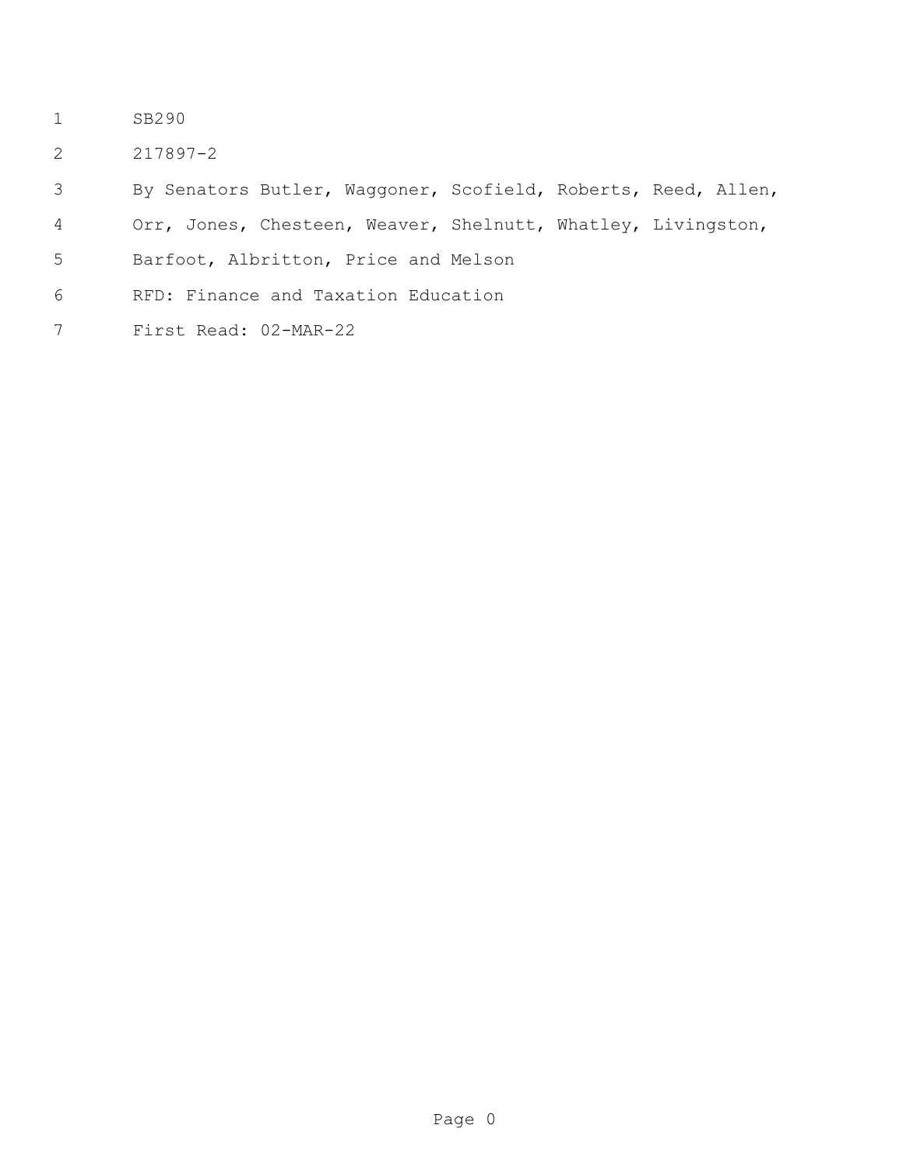- SB290
- 217897-2
- By Senators Butler, Waggoner, Scofield, Roberts, Reed, Allen,
- Orr, Jones, Chesteen, Weaver, Shelnutt, Whatley, Livingston,
- Barfoot, Albritton, Price and Melson
- RFD: Finance and Taxation Education
- First Read: 02-MAR-22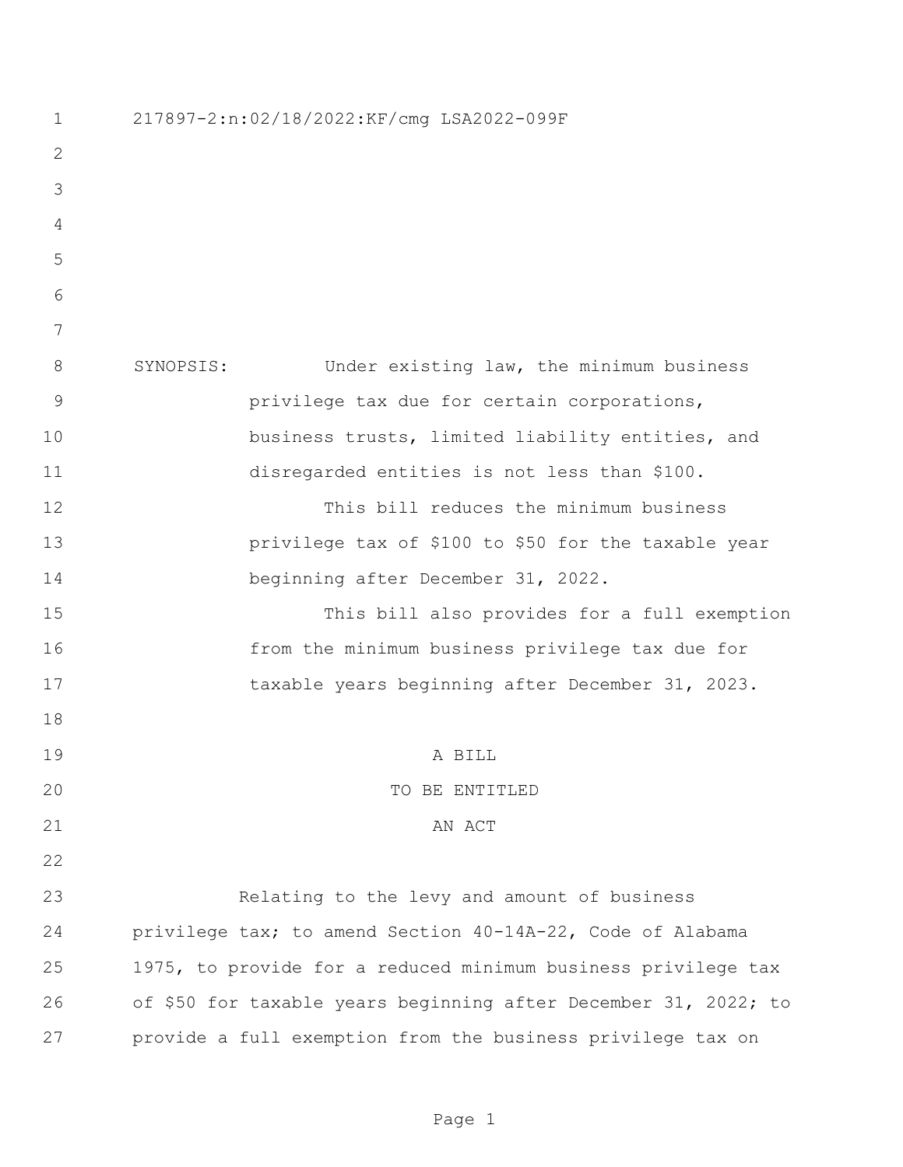| $\mathbf 1$ | 217897-2:n:02/18/2022:KF/cmg LSA2022-099F                       |  |  |
|-------------|-----------------------------------------------------------------|--|--|
| 2           |                                                                 |  |  |
| 3           |                                                                 |  |  |
| 4           |                                                                 |  |  |
| 5           |                                                                 |  |  |
| 6           |                                                                 |  |  |
| 7           |                                                                 |  |  |
| 8           | SYNOPSIS:<br>Under existing law, the minimum business           |  |  |
| 9           | privilege tax due for certain corporations,                     |  |  |
| 10          | business trusts, limited liability entities, and                |  |  |
| 11          | disregarded entities is not less than \$100.                    |  |  |
| 12          | This bill reduces the minimum business                          |  |  |
| 13          | privilege tax of \$100 to \$50 for the taxable year             |  |  |
| 14          | beginning after December 31, 2022.                              |  |  |
| 15          | This bill also provides for a full exemption                    |  |  |
| 16          | from the minimum business privilege tax due for                 |  |  |
| 17          | taxable years beginning after December 31, 2023.                |  |  |
| 18          |                                                                 |  |  |
| 19          | A BILL                                                          |  |  |
| 20          | TO BE ENTITLED                                                  |  |  |
| 21          | AN ACT                                                          |  |  |
| 22          |                                                                 |  |  |
| 23          | Relating to the levy and amount of business                     |  |  |
| 24          | privilege tax; to amend Section 40-14A-22, Code of Alabama      |  |  |
| 25          | 1975, to provide for a reduced minimum business privilege tax   |  |  |
| 26          | of \$50 for taxable years beginning after December 31, 2022; to |  |  |
| 27          | provide a full exemption from the business privilege tax on     |  |  |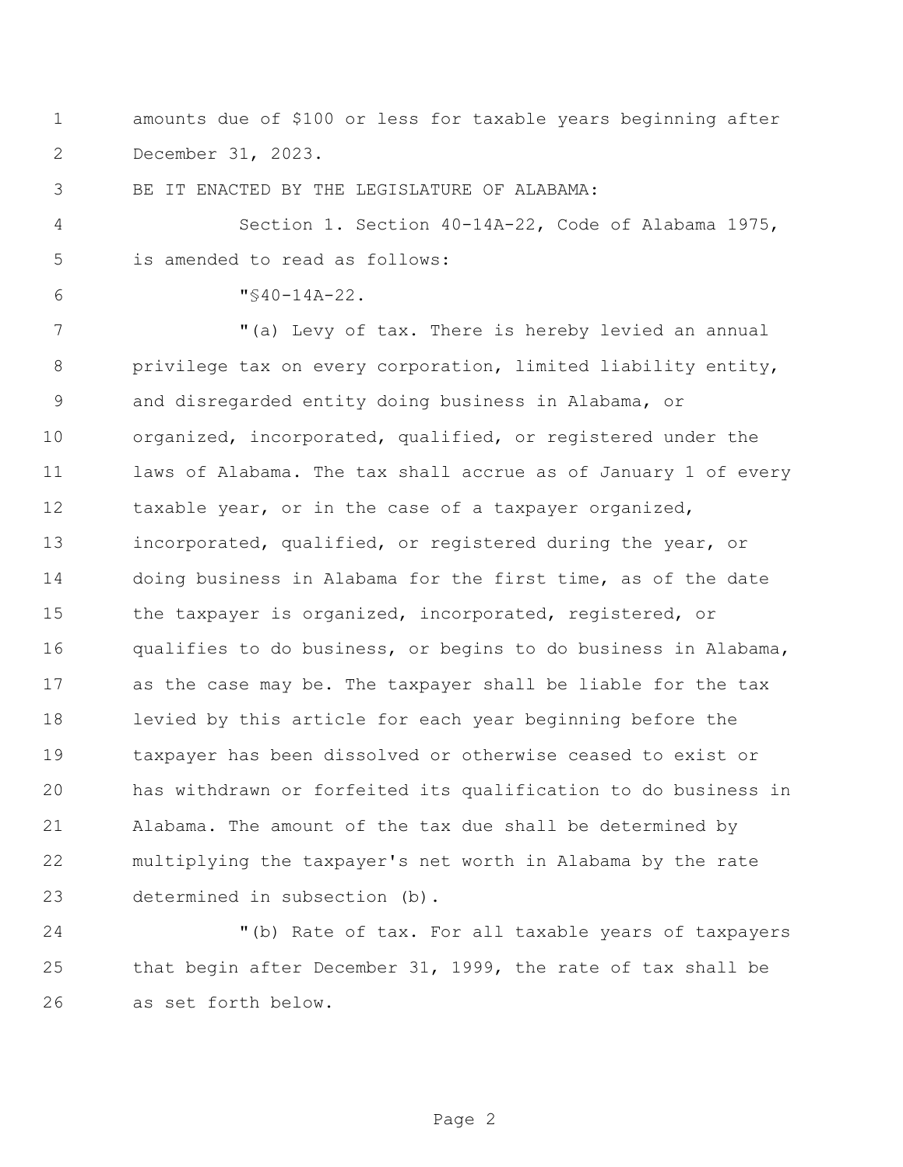amounts due of \$100 or less for taxable years beginning after December 31, 2023.

BE IT ENACTED BY THE LEGISLATURE OF ALABAMA:

 Section 1. Section 40-14A-22, Code of Alabama 1975, is amended to read as follows:

 $6 \text{ W} \leq 40 - 14A - 22.$ 

 "(a) Levy of tax. There is hereby levied an annual privilege tax on every corporation, limited liability entity, and disregarded entity doing business in Alabama, or organized, incorporated, qualified, or registered under the laws of Alabama. The tax shall accrue as of January 1 of every 12 taxable year, or in the case of a taxpayer organized, incorporated, qualified, or registered during the year, or doing business in Alabama for the first time, as of the date 15 the taxpayer is organized, incorporated, registered, or qualifies to do business, or begins to do business in Alabama, as the case may be. The taxpayer shall be liable for the tax levied by this article for each year beginning before the taxpayer has been dissolved or otherwise ceased to exist or has withdrawn or forfeited its qualification to do business in Alabama. The amount of the tax due shall be determined by multiplying the taxpayer's net worth in Alabama by the rate determined in subsection (b).

 "(b) Rate of tax. For all taxable years of taxpayers that begin after December 31, 1999, the rate of tax shall be as set forth below.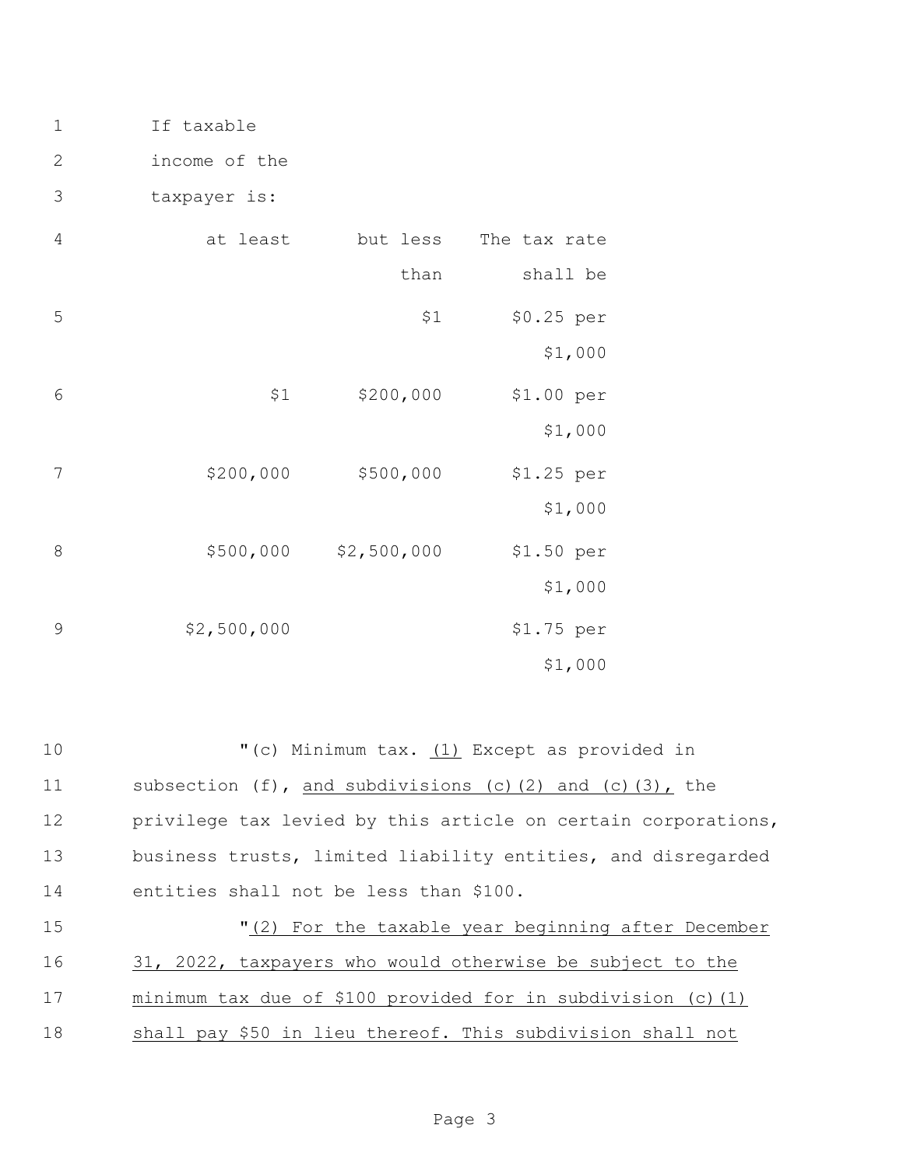1 If taxable

2 income of the

3 taxpayer is:

| The tax rate           | but less    | at least    | 4 |
|------------------------|-------------|-------------|---|
| shall be               | than        |             |   |
| \$0.25 per<br>\$1,000  | \$1         |             | 5 |
| \$1.00 per<br>\$1,000  | \$200,000   | \$1         | 6 |
| $$1.25$ per<br>\$1,000 | \$500,000   | \$200,000   | 7 |
| \$1.50 per<br>\$1,000  | \$2,500,000 | \$500,000   | 8 |
| \$1.75 per<br>\$1,000  |             | \$2,500,000 | 9 |

10 "(c) Minimum tax. (1) Except as provided in subsection (f), and subdivisions (c)(2) and (c)(3), the privilege tax levied by this article on certain corporations, business trusts, limited liability entities, and disregarded entities shall not be less than \$100. "(2) For the taxable year beginning after December 31, 2022, taxpayers who would otherwise be subject to the minimum tax due of \$100 provided for in subdivision (c)(1)

18 shall pay \$50 in lieu thereof. This subdivision shall not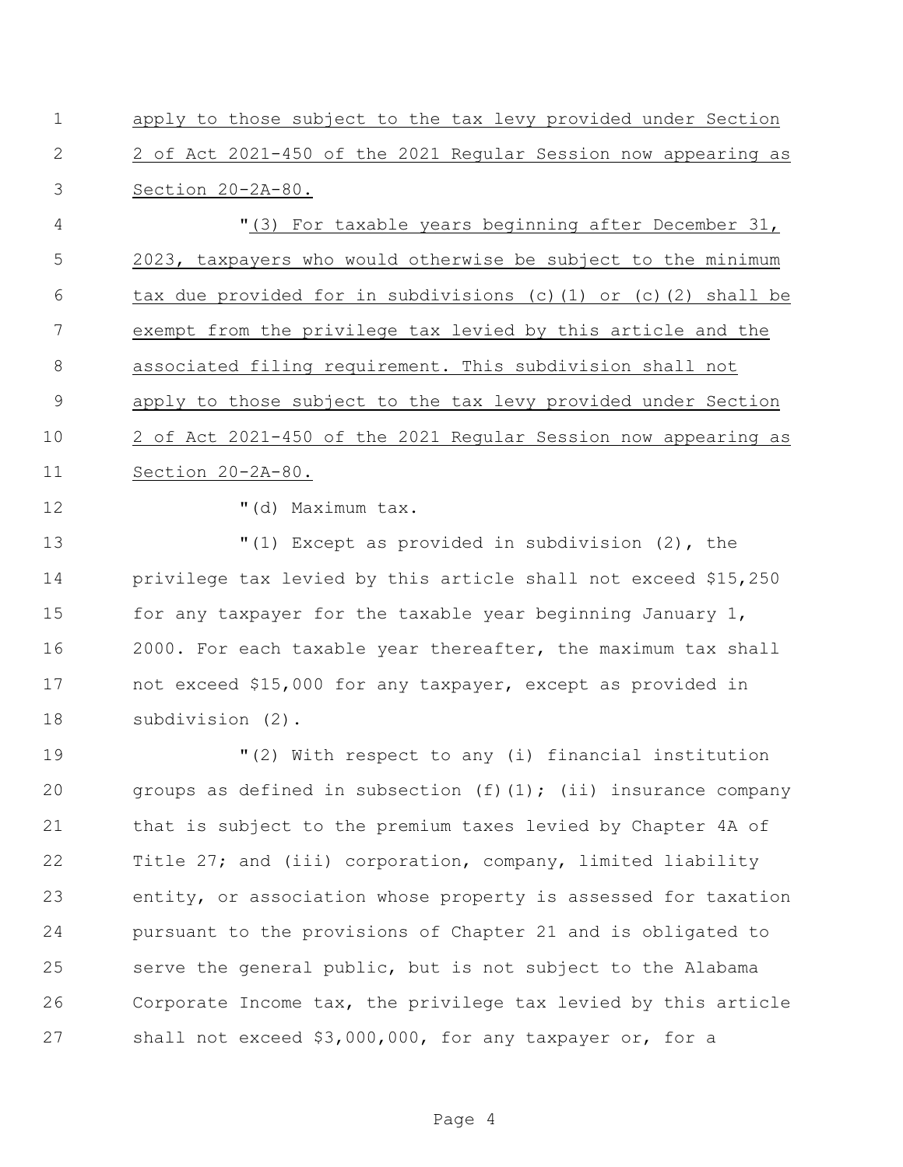apply to those subject to the tax levy provided under Section 2 of Act 2021-450 of the 2021 Regular Session now appearing as Section 20-2A-80.

 "(3) For taxable years beginning after December 31, 2023, taxpayers who would otherwise be subject to the minimum tax due provided for in subdivisions (c)(1) or (c)(2) shall be exempt from the privilege tax levied by this article and the associated filing requirement. This subdivision shall not apply to those subject to the tax levy provided under Section 2 of Act 2021-450 of the 2021 Regular Session now appearing as Section 20-2A-80.

12  $\blacksquare$  (d) Maximum tax.

 "(1) Except as provided in subdivision (2), the privilege tax levied by this article shall not exceed \$15,250 15 for any taxpayer for the taxable year beginning January 1, 2000. For each taxable year thereafter, the maximum tax shall not exceed \$15,000 for any taxpayer, except as provided in subdivision (2).

 "(2) With respect to any (i) financial institution 20 groups as defined in subsection  $(f)(1)$ ; (ii) insurance company that is subject to the premium taxes levied by Chapter 4A of Title 27; and (iii) corporation, company, limited liability entity, or association whose property is assessed for taxation pursuant to the provisions of Chapter 21 and is obligated to serve the general public, but is not subject to the Alabama Corporate Income tax, the privilege tax levied by this article shall not exceed \$3,000,000, for any taxpayer or, for a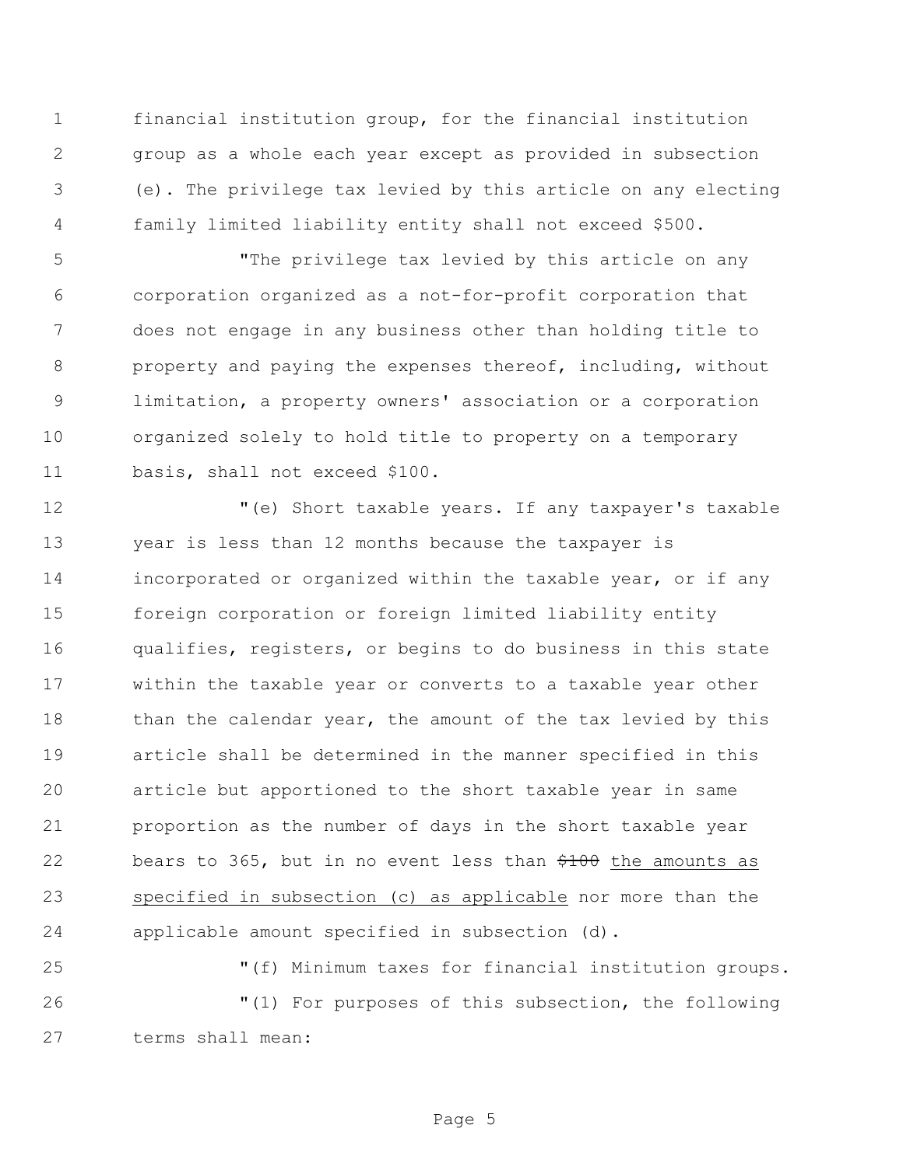financial institution group, for the financial institution group as a whole each year except as provided in subsection (e). The privilege tax levied by this article on any electing family limited liability entity shall not exceed \$500.

 "The privilege tax levied by this article on any corporation organized as a not-for-profit corporation that does not engage in any business other than holding title to property and paying the expenses thereof, including, without limitation, a property owners' association or a corporation organized solely to hold title to property on a temporary basis, shall not exceed \$100.

 "(e) Short taxable years. If any taxpayer's taxable year is less than 12 months because the taxpayer is incorporated or organized within the taxable year, or if any foreign corporation or foreign limited liability entity qualifies, registers, or begins to do business in this state within the taxable year or converts to a taxable year other 18 than the calendar year, the amount of the tax levied by this article shall be determined in the manner specified in this article but apportioned to the short taxable year in same proportion as the number of days in the short taxable year 22 bears to 365, but in no event less than  $\frac{4100}{100}$  the amounts as 23 specified in subsection (c) as applicable nor more than the applicable amount specified in subsection (d).

 "(f) Minimum taxes for financial institution groups. "(1) For purposes of this subsection, the following terms shall mean: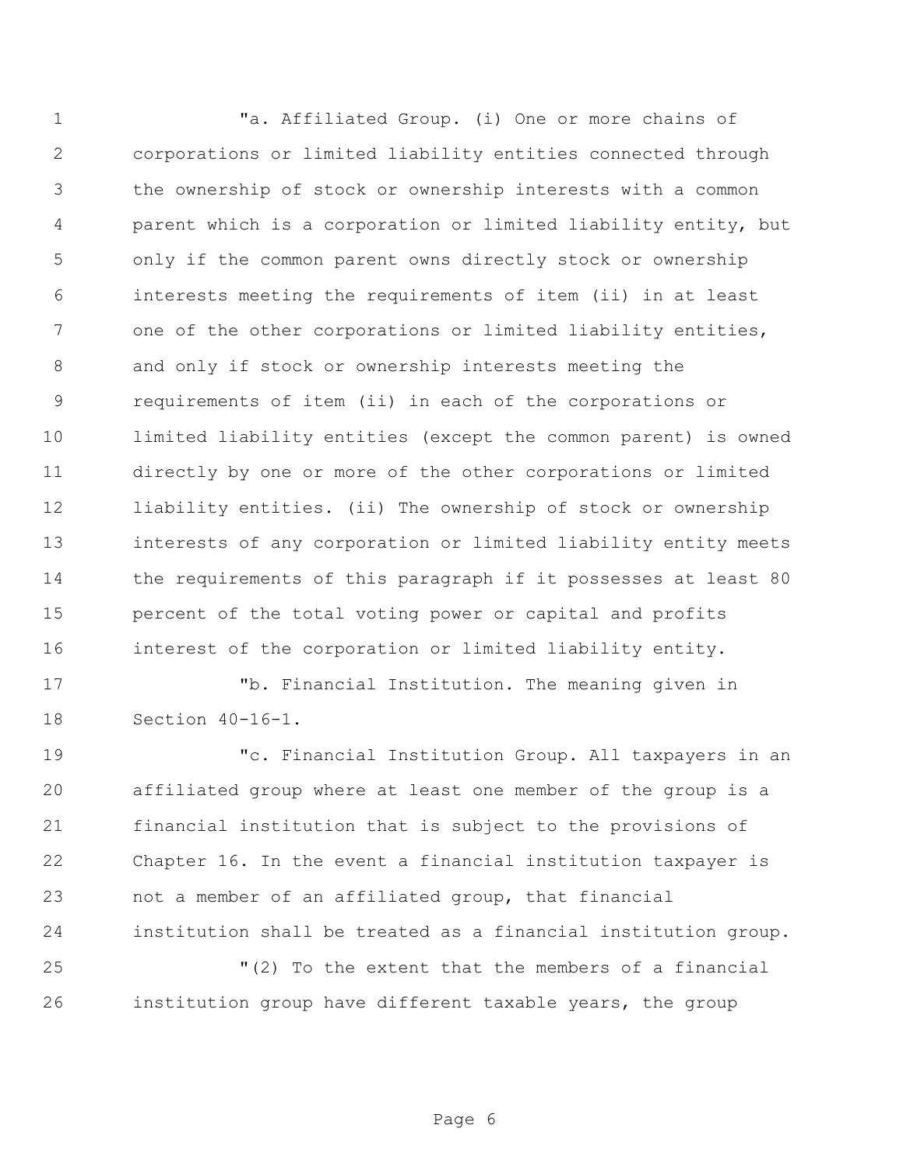"a. Affiliated Group. (i) One or more chains of corporations or limited liability entities connected through the ownership of stock or ownership interests with a common parent which is a corporation or limited liability entity, but only if the common parent owns directly stock or ownership interests meeting the requirements of item (ii) in at least 7 one of the other corporations or limited liability entities, and only if stock or ownership interests meeting the requirements of item (ii) in each of the corporations or limited liability entities (except the common parent) is owned directly by one or more of the other corporations or limited liability entities. (ii) The ownership of stock or ownership interests of any corporation or limited liability entity meets 14 the requirements of this paragraph if it possesses at least 80 percent of the total voting power or capital and profits interest of the corporation or limited liability entity.

 "b. Financial Institution. The meaning given in Section 40-16-1.

 "c. Financial Institution Group. All taxpayers in an affiliated group where at least one member of the group is a financial institution that is subject to the provisions of Chapter 16. In the event a financial institution taxpayer is not a member of an affiliated group, that financial institution shall be treated as a financial institution group.

 "(2) To the extent that the members of a financial institution group have different taxable years, the group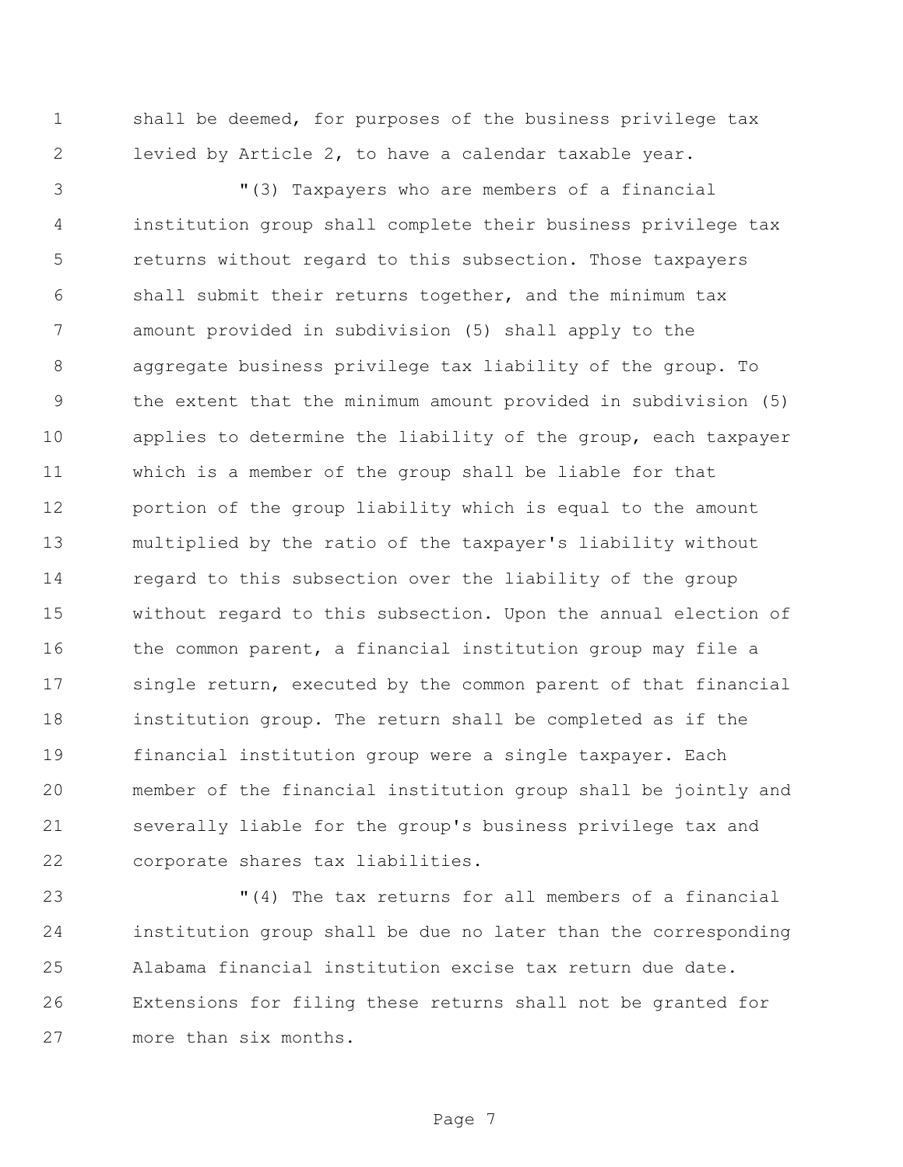shall be deemed, for purposes of the business privilege tax levied by Article 2, to have a calendar taxable year.

 "(3) Taxpayers who are members of a financial institution group shall complete their business privilege tax returns without regard to this subsection. Those taxpayers shall submit their returns together, and the minimum tax amount provided in subdivision (5) shall apply to the aggregate business privilege tax liability of the group. To the extent that the minimum amount provided in subdivision (5) applies to determine the liability of the group, each taxpayer which is a member of the group shall be liable for that portion of the group liability which is equal to the amount multiplied by the ratio of the taxpayer's liability without regard to this subsection over the liability of the group without regard to this subsection. Upon the annual election of 16 the common parent, a financial institution group may file a single return, executed by the common parent of that financial institution group. The return shall be completed as if the financial institution group were a single taxpayer. Each member of the financial institution group shall be jointly and severally liable for the group's business privilege tax and corporate shares tax liabilities.

 "(4) The tax returns for all members of a financial institution group shall be due no later than the corresponding Alabama financial institution excise tax return due date. Extensions for filing these returns shall not be granted for more than six months.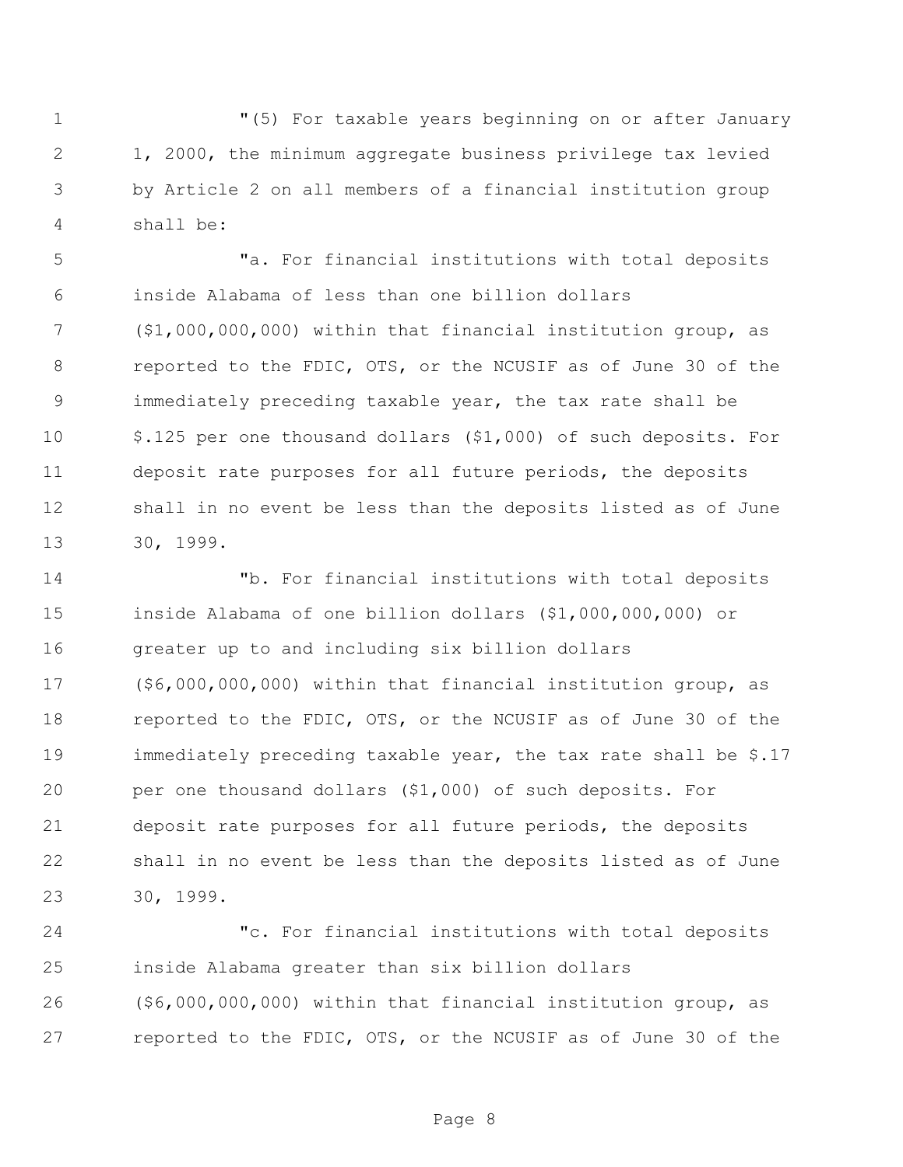"(5) For taxable years beginning on or after January 1, 2000, the minimum aggregate business privilege tax levied by Article 2 on all members of a financial institution group shall be:

 "a. For financial institutions with total deposits inside Alabama of less than one billion dollars (\$1,000,000,000) within that financial institution group, as reported to the FDIC, OTS, or the NCUSIF as of June 30 of the immediately preceding taxable year, the tax rate shall be \$.125 per one thousand dollars (\$1,000) of such deposits. For deposit rate purposes for all future periods, the deposits shall in no event be less than the deposits listed as of June 30, 1999.

 "b. For financial institutions with total deposits inside Alabama of one billion dollars (\$1,000,000,000) or greater up to and including six billion dollars (\$6,000,000,000) within that financial institution group, as reported to the FDIC, OTS, or the NCUSIF as of June 30 of the immediately preceding taxable year, the tax rate shall be \$.17 per one thousand dollars (\$1,000) of such deposits. For deposit rate purposes for all future periods, the deposits shall in no event be less than the deposits listed as of June 30, 1999.

 "c. For financial institutions with total deposits inside Alabama greater than six billion dollars (\$6,000,000,000) within that financial institution group, as reported to the FDIC, OTS, or the NCUSIF as of June 30 of the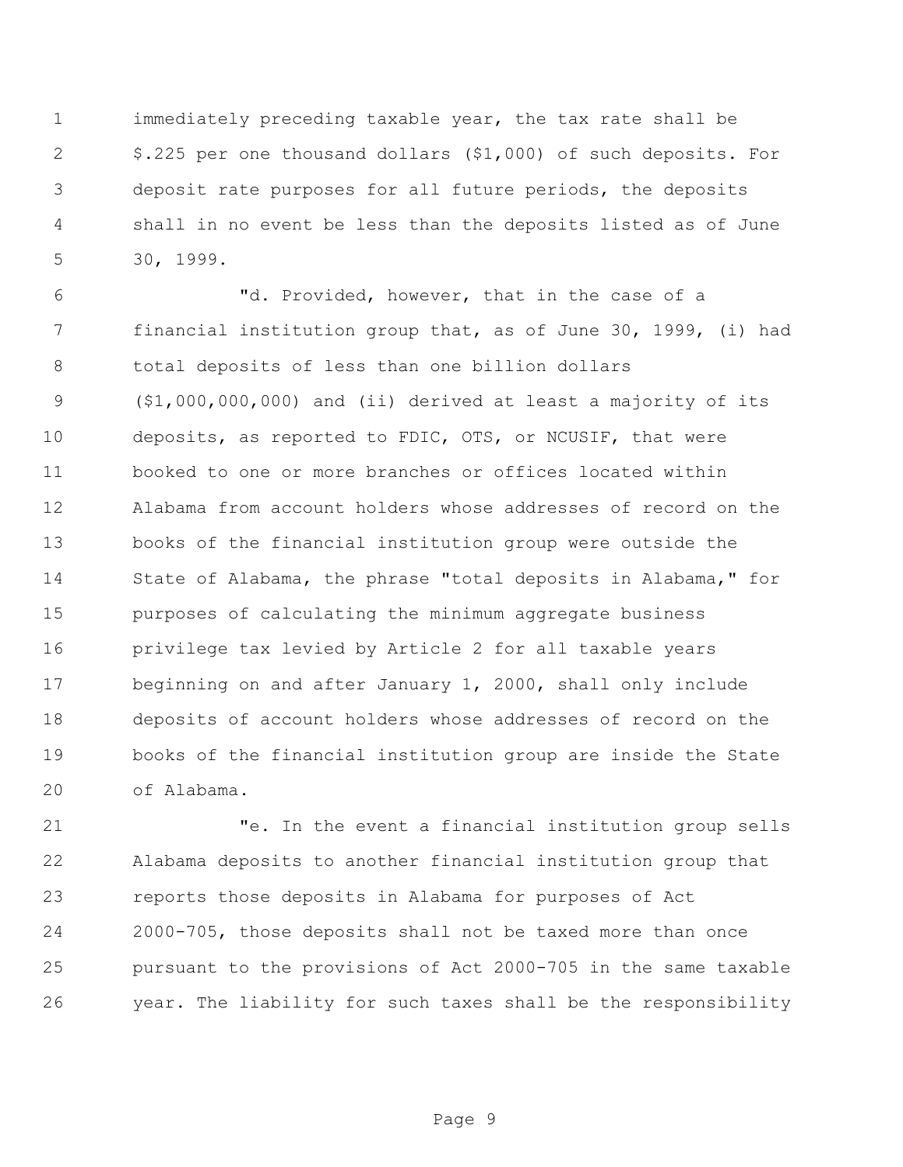immediately preceding taxable year, the tax rate shall be \$.225 per one thousand dollars (\$1,000) of such deposits. For deposit rate purposes for all future periods, the deposits shall in no event be less than the deposits listed as of June 30, 1999.

 "d. Provided, however, that in the case of a financial institution group that, as of June 30, 1999, (i) had total deposits of less than one billion dollars (\$1,000,000,000) and (ii) derived at least a majority of its deposits, as reported to FDIC, OTS, or NCUSIF, that were booked to one or more branches or offices located within Alabama from account holders whose addresses of record on the books of the financial institution group were outside the State of Alabama, the phrase "total deposits in Alabama," for purposes of calculating the minimum aggregate business privilege tax levied by Article 2 for all taxable years beginning on and after January 1, 2000, shall only include deposits of account holders whose addresses of record on the books of the financial institution group are inside the State of Alabama.

 "e. In the event a financial institution group sells Alabama deposits to another financial institution group that reports those deposits in Alabama for purposes of Act 2000-705, those deposits shall not be taxed more than once pursuant to the provisions of Act 2000-705 in the same taxable year. The liability for such taxes shall be the responsibility